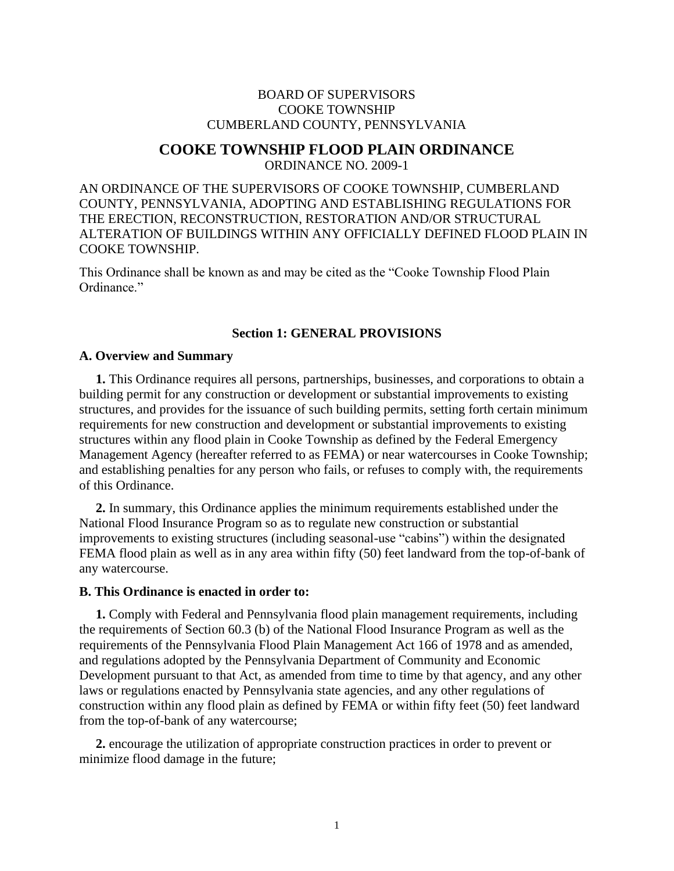# BOARD OF SUPERVISORS COOKE TOWNSHIP CUMBERLAND COUNTY, PENNSYLVANIA

# **COOKE TOWNSHIP FLOOD PLAIN ORDINANCE**

ORDINANCE NO. 2009-1

AN ORDINANCE OF THE SUPERVISORS OF COOKE TOWNSHIP, CUMBERLAND COUNTY, PENNSYLVANIA, ADOPTING AND ESTABLISHING REGULATIONS FOR THE ERECTION, RECONSTRUCTION, RESTORATION AND/OR STRUCTURAL ALTERATION OF BUILDINGS WITHIN ANY OFFICIALLY DEFINED FLOOD PLAIN IN COOKE TOWNSHIP.

This Ordinance shall be known as and may be cited as the "Cooke Township Flood Plain Ordinance."

# **Section 1: GENERAL PROVISIONS**

### **A. Overview and Summary**

 **1.** This Ordinance requires all persons, partnerships, businesses, and corporations to obtain a building permit for any construction or development or substantial improvements to existing structures, and provides for the issuance of such building permits, setting forth certain minimum requirements for new construction and development or substantial improvements to existing structures within any flood plain in Cooke Township as defined by the Federal Emergency Management Agency (hereafter referred to as FEMA) or near watercourses in Cooke Township; and establishing penalties for any person who fails, or refuses to comply with, the requirements of this Ordinance.

 **2.** In summary, this Ordinance applies the minimum requirements established under the National Flood Insurance Program so as to regulate new construction or substantial improvements to existing structures (including seasonal-use "cabins") within the designated FEMA flood plain as well as in any area within fifty (50) feet landward from the top-of-bank of any watercourse.

### **B. This Ordinance is enacted in order to:**

 **1.** Comply with Federal and Pennsylvania flood plain management requirements, including the requirements of Section 60.3 (b) of the National Flood Insurance Program as well as the requirements of the Pennsylvania Flood Plain Management Act 166 of 1978 and as amended, and regulations adopted by the Pennsylvania Department of Community and Economic Development pursuant to that Act, as amended from time to time by that agency, and any other laws or regulations enacted by Pennsylvania state agencies, and any other regulations of construction within any flood plain as defined by FEMA or within fifty feet (50) feet landward from the top-of-bank of any watercourse;

 **2.** encourage the utilization of appropriate construction practices in order to prevent or minimize flood damage in the future;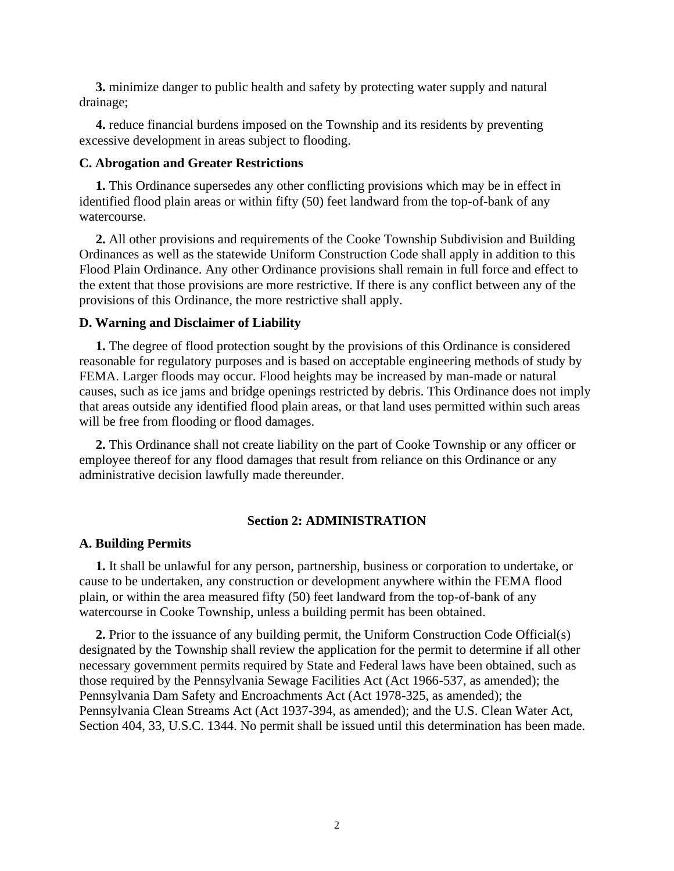**3.** minimize danger to public health and safety by protecting water supply and natural drainage;

 **4.** reduce financial burdens imposed on the Township and its residents by preventing excessive development in areas subject to flooding.

# **C. Abrogation and Greater Restrictions**

 **1.** This Ordinance supersedes any other conflicting provisions which may be in effect in identified flood plain areas or within fifty (50) feet landward from the top-of-bank of any watercourse.

 **2.** All other provisions and requirements of the Cooke Township Subdivision and Building Ordinances as well as the statewide Uniform Construction Code shall apply in addition to this Flood Plain Ordinance. Any other Ordinance provisions shall remain in full force and effect to the extent that those provisions are more restrictive. If there is any conflict between any of the provisions of this Ordinance, the more restrictive shall apply.

#### **D. Warning and Disclaimer of Liability**

 **1.** The degree of flood protection sought by the provisions of this Ordinance is considered reasonable for regulatory purposes and is based on acceptable engineering methods of study by FEMA. Larger floods may occur. Flood heights may be increased by man-made or natural causes, such as ice jams and bridge openings restricted by debris. This Ordinance does not imply that areas outside any identified flood plain areas, or that land uses permitted within such areas will be free from flooding or flood damages.

 **2.** This Ordinance shall not create liability on the part of Cooke Township or any officer or employee thereof for any flood damages that result from reliance on this Ordinance or any administrative decision lawfully made thereunder.

# **Section 2: ADMINISTRATION**

### **A. Building Permits**

 **1.** It shall be unlawful for any person, partnership, business or corporation to undertake, or cause to be undertaken, any construction or development anywhere within the FEMA flood plain, or within the area measured fifty (50) feet landward from the top-of-bank of any watercourse in Cooke Township, unless a building permit has been obtained.

 **2.** Prior to the issuance of any building permit, the Uniform Construction Code Official(s) designated by the Township shall review the application for the permit to determine if all other necessary government permits required by State and Federal laws have been obtained, such as those required by the Pennsylvania Sewage Facilities Act (Act 1966-537, as amended); the Pennsylvania Dam Safety and Encroachments Act (Act 1978-325, as amended); the Pennsylvania Clean Streams Act (Act 1937-394, as amended); and the U.S. Clean Water Act, Section 404, 33, U.S.C. 1344. No permit shall be issued until this determination has been made.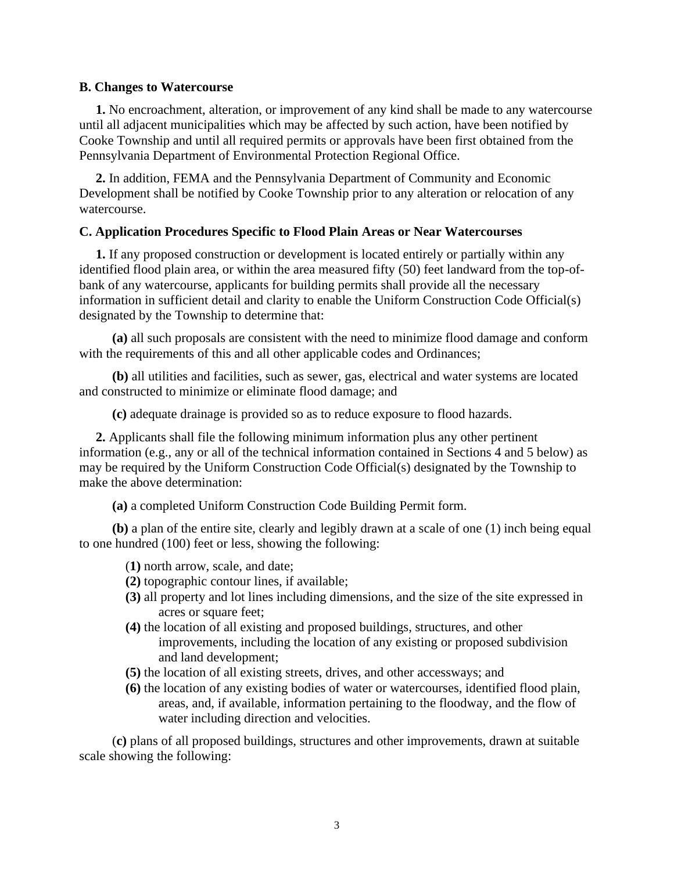## **B. Changes to Watercourse**

 **1.** No encroachment, alteration, or improvement of any kind shall be made to any watercourse until all adjacent municipalities which may be affected by such action, have been notified by Cooke Township and until all required permits or approvals have been first obtained from the Pennsylvania Department of Environmental Protection Regional Office.

 **2.** In addition, FEMA and the Pennsylvania Department of Community and Economic Development shall be notified by Cooke Township prior to any alteration or relocation of any watercourse.

# **C. Application Procedures Specific to Flood Plain Areas or Near Watercourses**

 **1.** If any proposed construction or development is located entirely or partially within any identified flood plain area, or within the area measured fifty (50) feet landward from the top-ofbank of any watercourse, applicants for building permits shall provide all the necessary information in sufficient detail and clarity to enable the Uniform Construction Code Official(s) designated by the Township to determine that:

 **(a)** all such proposals are consistent with the need to minimize flood damage and conform with the requirements of this and all other applicable codes and Ordinances;

 **(b)** all utilities and facilities, such as sewer, gas, electrical and water systems are located and constructed to minimize or eliminate flood damage; and

**(c)** adequate drainage is provided so as to reduce exposure to flood hazards.

 **2.** Applicants shall file the following minimum information plus any other pertinent information (e.g., any or all of the technical information contained in Sections 4 and 5 below) as may be required by the Uniform Construction Code Official(s) designated by the Township to make the above determination:

**(a)** a completed Uniform Construction Code Building Permit form.

 **(b)** a plan of the entire site, clearly and legibly drawn at a scale of one (1) inch being equal to one hundred (100) feet or less, showing the following:

(**1)** north arrow, scale, and date;

- **(2)** topographic contour lines, if available;
- **(3)** all property and lot lines including dimensions, and the size of the site expressed in acres or square feet;
- **(4)** the location of all existing and proposed buildings, structures, and other improvements, including the location of any existing or proposed subdivision and land development;
- **(5)** the location of all existing streets, drives, and other accessways; and
- **(6)** the location of any existing bodies of water or watercourses, identified flood plain, areas, and, if available, information pertaining to the floodway, and the flow of water including direction and velocities.

 (**c)** plans of all proposed buildings, structures and other improvements, drawn at suitable scale showing the following: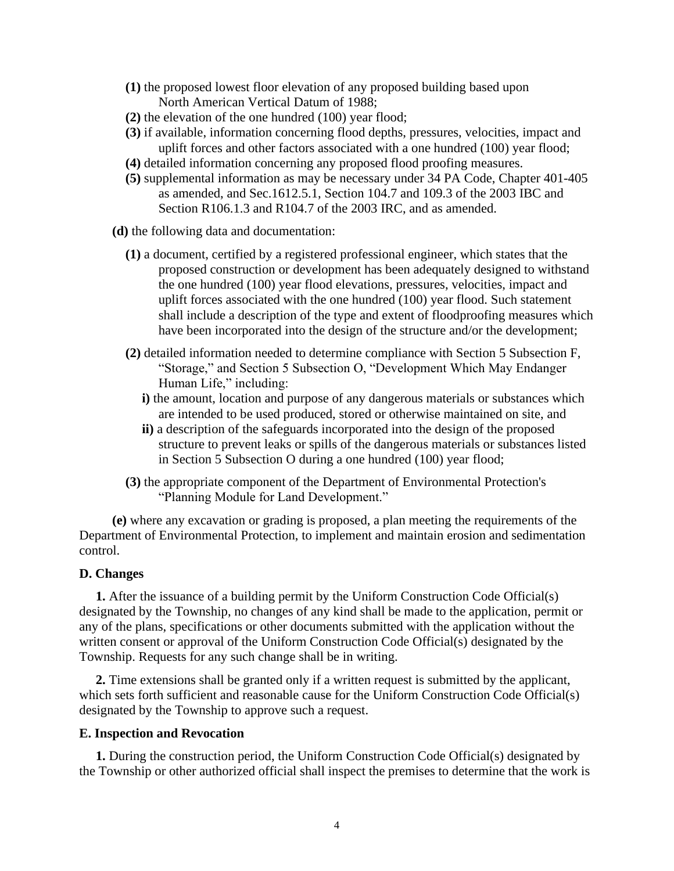- **(1)** the proposed lowest floor elevation of any proposed building based upon North American Vertical Datum of 1988;
- **(2)** the elevation of the one hundred (100) year flood;
- **(3)** if available, information concerning flood depths, pressures, velocities, impact and uplift forces and other factors associated with a one hundred (100) year flood;
- **(4)** detailed information concerning any proposed flood proofing measures.
- **(5)** supplemental information as may be necessary under 34 PA Code, Chapter 401-405 as amended, and Sec.1612.5.1, Section 104.7 and 109.3 of the 2003 IBC and Section R106.1.3 and R104.7 of the 2003 IRC, and as amended.
- **(d)** the following data and documentation:
	- **(1)** a document, certified by a registered professional engineer, which states that the proposed construction or development has been adequately designed to withstand the one hundred (100) year flood elevations, pressures, velocities, impact and uplift forces associated with the one hundred (100) year flood. Such statement shall include a description of the type and extent of floodproofing measures which have been incorporated into the design of the structure and/or the development;
	- **(2)** detailed information needed to determine compliance with Section 5 Subsection F, "Storage," and Section 5 Subsection O, "Development Which May Endanger Human Life," including:
		- **i)** the amount, location and purpose of any dangerous materials or substances which are intended to be used produced, stored or otherwise maintained on site, and
		- **ii)** a description of the safeguards incorporated into the design of the proposed structure to prevent leaks or spills of the dangerous materials or substances listed in Section 5 Subsection O during a one hundred (100) year flood;
	- **(3)** the appropriate component of the Department of Environmental Protection's "Planning Module for Land Development."

 **(e)** where any excavation or grading is proposed, a plan meeting the requirements of the Department of Environmental Protection, to implement and maintain erosion and sedimentation control.

# **D. Changes**

 **1.** After the issuance of a building permit by the Uniform Construction Code Official(s) designated by the Township, no changes of any kind shall be made to the application, permit or any of the plans, specifications or other documents submitted with the application without the written consent or approval of the Uniform Construction Code Official(s) designated by the Township. Requests for any such change shall be in writing.

 **2.** Time extensions shall be granted only if a written request is submitted by the applicant, which sets forth sufficient and reasonable cause for the Uniform Construction Code Official(s) designated by the Township to approve such a request.

## **E. Inspection and Revocation**

 **1.** During the construction period, the Uniform Construction Code Official(s) designated by the Township or other authorized official shall inspect the premises to determine that the work is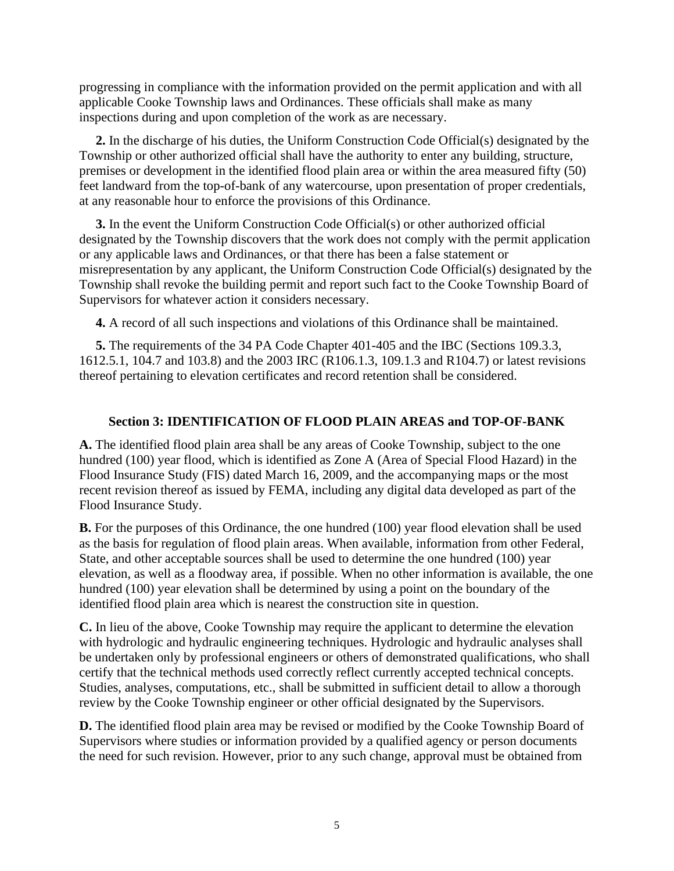progressing in compliance with the information provided on the permit application and with all applicable Cooke Township laws and Ordinances. These officials shall make as many inspections during and upon completion of the work as are necessary.

 **2.** In the discharge of his duties, the Uniform Construction Code Official(s) designated by the Township or other authorized official shall have the authority to enter any building, structure, premises or development in the identified flood plain area or within the area measured fifty (50) feet landward from the top-of-bank of any watercourse, upon presentation of proper credentials, at any reasonable hour to enforce the provisions of this Ordinance.

 **3.** In the event the Uniform Construction Code Official(s) or other authorized official designated by the Township discovers that the work does not comply with the permit application or any applicable laws and Ordinances, or that there has been a false statement or misrepresentation by any applicant, the Uniform Construction Code Official(s) designated by the Township shall revoke the building permit and report such fact to the Cooke Township Board of Supervisors for whatever action it considers necessary.

**4.** A record of all such inspections and violations of this Ordinance shall be maintained.

 **5.** The requirements of the 34 PA Code Chapter 401-405 and the IBC (Sections 109.3.3, 1612.5.1, 104.7 and 103.8) and the 2003 IRC (R106.1.3, 109.1.3 and R104.7) or latest revisions thereof pertaining to elevation certificates and record retention shall be considered.

# **Section 3: IDENTIFICATION OF FLOOD PLAIN AREAS and TOP-OF-BANK**

**A.** The identified flood plain area shall be any areas of Cooke Township, subject to the one hundred (100) year flood, which is identified as Zone A (Area of Special Flood Hazard) in the Flood Insurance Study (FIS) dated March 16, 2009, and the accompanying maps or the most recent revision thereof as issued by FEMA, including any digital data developed as part of the Flood Insurance Study.

**B.** For the purposes of this Ordinance, the one hundred (100) year flood elevation shall be used as the basis for regulation of flood plain areas. When available, information from other Federal, State, and other acceptable sources shall be used to determine the one hundred (100) year elevation, as well as a floodway area, if possible. When no other information is available, the one hundred (100) year elevation shall be determined by using a point on the boundary of the identified flood plain area which is nearest the construction site in question.

**C.** In lieu of the above, Cooke Township may require the applicant to determine the elevation with hydrologic and hydraulic engineering techniques. Hydrologic and hydraulic analyses shall be undertaken only by professional engineers or others of demonstrated qualifications, who shall certify that the technical methods used correctly reflect currently accepted technical concepts. Studies, analyses, computations, etc., shall be submitted in sufficient detail to allow a thorough review by the Cooke Township engineer or other official designated by the Supervisors.

**D.** The identified flood plain area may be revised or modified by the Cooke Township Board of Supervisors where studies or information provided by a qualified agency or person documents the need for such revision. However, prior to any such change, approval must be obtained from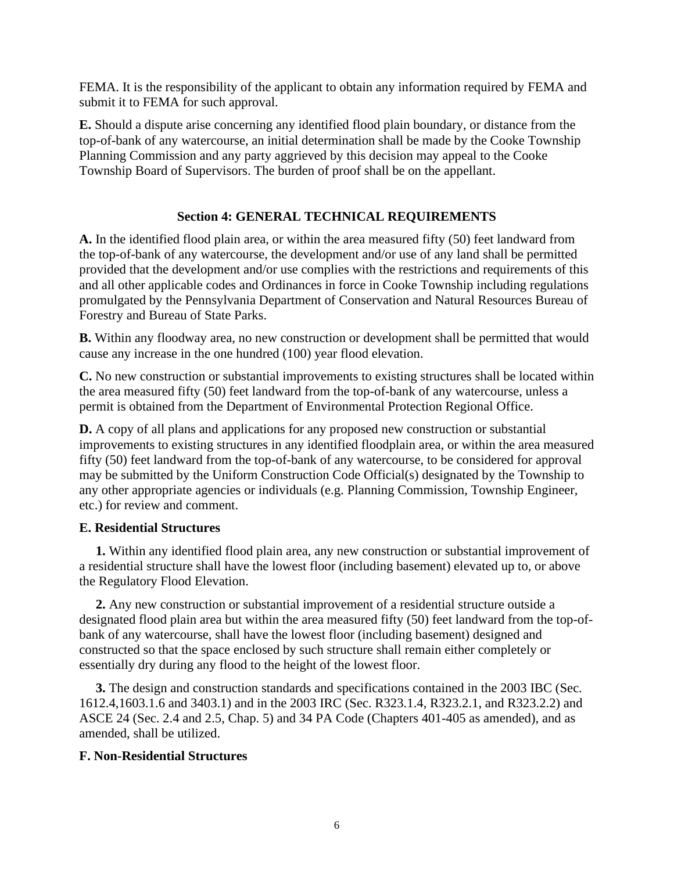FEMA. It is the responsibility of the applicant to obtain any information required by FEMA and submit it to FEMA for such approval.

**E.** Should a dispute arise concerning any identified flood plain boundary, or distance from the top-of-bank of any watercourse, an initial determination shall be made by the Cooke Township Planning Commission and any party aggrieved by this decision may appeal to the Cooke Township Board of Supervisors. The burden of proof shall be on the appellant.

# **Section 4: GENERAL TECHNICAL REQUIREMENTS**

**A.** In the identified flood plain area, or within the area measured fifty (50) feet landward from the top-of-bank of any watercourse, the development and/or use of any land shall be permitted provided that the development and/or use complies with the restrictions and requirements of this and all other applicable codes and Ordinances in force in Cooke Township including regulations promulgated by the Pennsylvania Department of Conservation and Natural Resources Bureau of Forestry and Bureau of State Parks.

**B.** Within any floodway area, no new construction or development shall be permitted that would cause any increase in the one hundred (100) year flood elevation.

**C.** No new construction or substantial improvements to existing structures shall be located within the area measured fifty (50) feet landward from the top-of-bank of any watercourse, unless a permit is obtained from the Department of Environmental Protection Regional Office.

**D.** A copy of all plans and applications for any proposed new construction or substantial improvements to existing structures in any identified floodplain area, or within the area measured fifty (50) feet landward from the top-of-bank of any watercourse, to be considered for approval may be submitted by the Uniform Construction Code Official(s) designated by the Township to any other appropriate agencies or individuals (e.g. Planning Commission, Township Engineer, etc.) for review and comment.

# **E. Residential Structures**

 **1.** Within any identified flood plain area, any new construction or substantial improvement of a residential structure shall have the lowest floor (including basement) elevated up to, or above the Regulatory Flood Elevation.

 **2.** Any new construction or substantial improvement of a residential structure outside a designated flood plain area but within the area measured fifty (50) feet landward from the top-ofbank of any watercourse, shall have the lowest floor (including basement) designed and constructed so that the space enclosed by such structure shall remain either completely or essentially dry during any flood to the height of the lowest floor.

 **3.** The design and construction standards and specifications contained in the 2003 IBC (Sec. 1612.4,1603.1.6 and 3403.1) and in the 2003 IRC (Sec. R323.1.4, R323.2.1, and R323.2.2) and ASCE 24 (Sec. 2.4 and 2.5, Chap. 5) and 34 PA Code (Chapters 401-405 as amended), and as amended, shall be utilized.

# **F. Non-Residential Structures**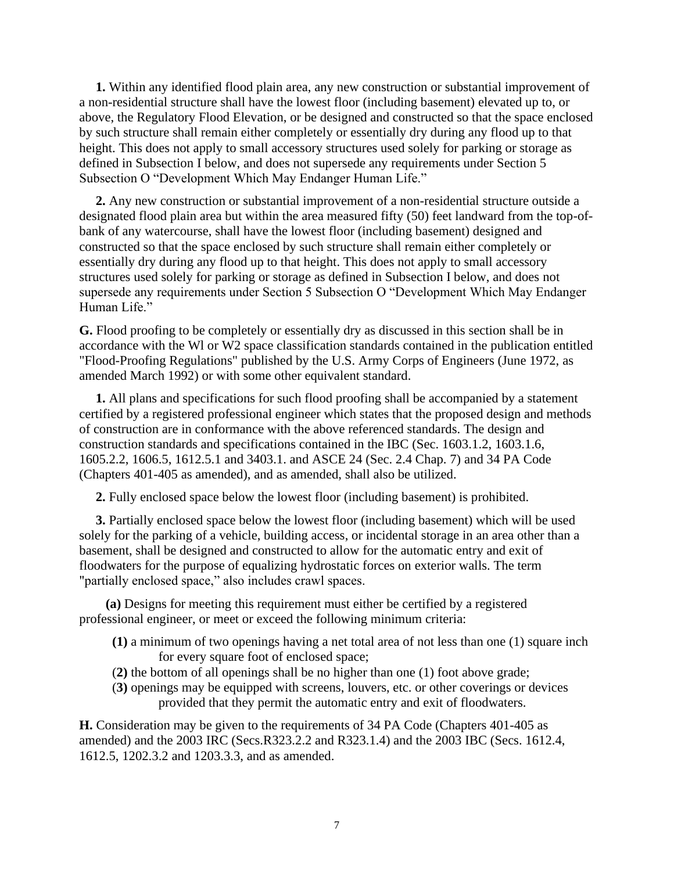**1.** Within any identified flood plain area, any new construction or substantial improvement of a non-residential structure shall have the lowest floor (including basement) elevated up to, or above, the Regulatory Flood Elevation, or be designed and constructed so that the space enclosed by such structure shall remain either completely or essentially dry during any flood up to that height. This does not apply to small accessory structures used solely for parking or storage as defined in Subsection I below, and does not supersede any requirements under Section 5 Subsection O "Development Which May Endanger Human Life."

 **2.** Any new construction or substantial improvement of a non-residential structure outside a designated flood plain area but within the area measured fifty (50) feet landward from the top-ofbank of any watercourse, shall have the lowest floor (including basement) designed and constructed so that the space enclosed by such structure shall remain either completely or essentially dry during any flood up to that height. This does not apply to small accessory structures used solely for parking or storage as defined in Subsection I below, and does not supersede any requirements under Section 5 Subsection O "Development Which May Endanger Human Life."

**G.** Flood proofing to be completely or essentially dry as discussed in this section shall be in accordance with the Wl or W2 space classification standards contained in the publication entitled "Flood-Proofing Regulations" published by the U.S. Army Corps of Engineers (June 1972, as amended March 1992) or with some other equivalent standard.

 **1.** All plans and specifications for such flood proofing shall be accompanied by a statement certified by a registered professional engineer which states that the proposed design and methods of construction are in conformance with the above referenced standards. The design and construction standards and specifications contained in the IBC (Sec. 1603.1.2, 1603.1.6, 1605.2.2, 1606.5, 1612.5.1 and 3403.1. and ASCE 24 (Sec. 2.4 Chap. 7) and 34 PA Code (Chapters 401-405 as amended), and as amended, shall also be utilized.

**2.** Fully enclosed space below the lowest floor (including basement) is prohibited.

 **3.** Partially enclosed space below the lowest floor (including basement) which will be used solely for the parking of a vehicle, building access, or incidental storage in an area other than a basement, shall be designed and constructed to allow for the automatic entry and exit of floodwaters for the purpose of equalizing hydrostatic forces on exterior walls. The term "partially enclosed space," also includes crawl spaces.

 **(a)** Designs for meeting this requirement must either be certified by a registered professional engineer, or meet or exceed the following minimum criteria:

- **(1)** a minimum of two openings having a net total area of not less than one (1) square inch for every square foot of enclosed space;
- (**2)** the bottom of all openings shall be no higher than one (1) foot above grade;
- (**3)** openings may be equipped with screens, louvers, etc. or other coverings or devices provided that they permit the automatic entry and exit of floodwaters.

**H.** Consideration may be given to the requirements of 34 PA Code (Chapters 401-405 as amended) and the 2003 IRC (Secs.R323.2.2 and R323.1.4) and the 2003 IBC (Secs. 1612.4, 1612.5, 1202.3.2 and 1203.3.3, and as amended.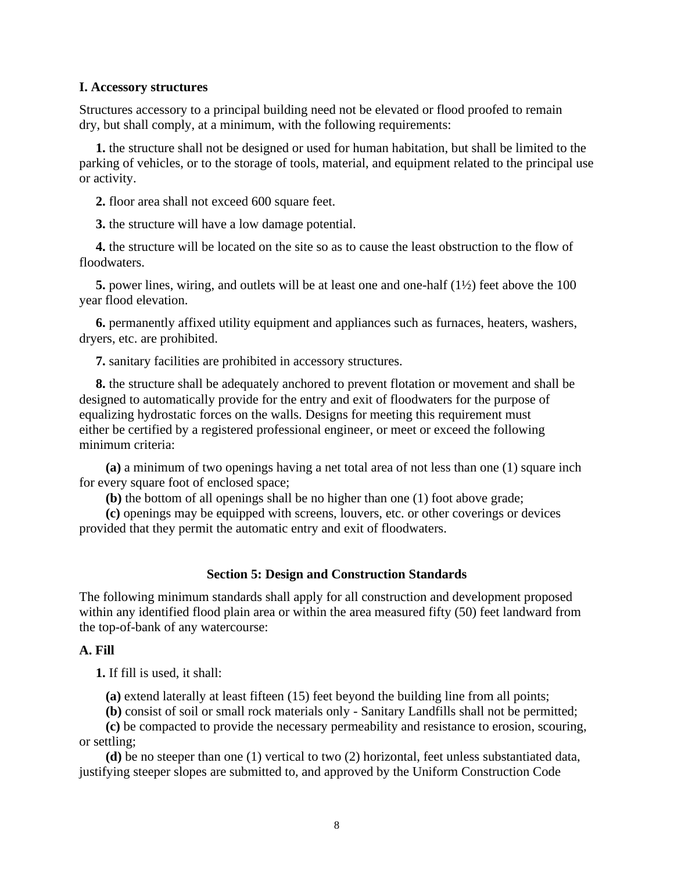### **I. Accessory structures**

Structures accessory to a principal building need not be elevated or flood proofed to remain dry, but shall comply, at a minimum, with the following requirements:

 **1.** the structure shall not be designed or used for human habitation, but shall be limited to the parking of vehicles, or to the storage of tools, material, and equipment related to the principal use or activity.

**2.** floor area shall not exceed 600 square feet.

**3.** the structure will have a low damage potential.

 **4.** the structure will be located on the site so as to cause the least obstruction to the flow of floodwaters.

 **5.** power lines, wiring, and outlets will be at least one and one-half (1½) feet above the 100 year flood elevation.

 **6.** permanently affixed utility equipment and appliances such as furnaces, heaters, washers, dryers, etc. are prohibited.

**7.** sanitary facilities are prohibited in accessory structures.

 **8.** the structure shall be adequately anchored to prevent flotation or movement and shall be designed to automatically provide for the entry and exit of floodwaters for the purpose of equalizing hydrostatic forces on the walls. Designs for meeting this requirement must either be certified by a registered professional engineer, or meet or exceed the following minimum criteria:

 **(a)** a minimum of two openings having a net total area of not less than one (1) square inch for every square foot of enclosed space;

**(b)** the bottom of all openings shall be no higher than one (1) foot above grade;

 **(c)** openings may be equipped with screens, louvers, etc. or other coverings or devices provided that they permit the automatic entry and exit of floodwaters.

# **Section 5: Design and Construction Standards**

The following minimum standards shall apply for all construction and development proposed within any identified flood plain area or within the area measured fifty (50) feet landward from the top-of-bank of any watercourse:

### **A. Fill**

**1.** If fill is used, it shall:

**(a)** extend laterally at least fifteen (15) feet beyond the building line from all points;

**(b)** consist of soil or small rock materials only - Sanitary Landfills shall not be permitted;

 **(c)** be compacted to provide the necessary permeability and resistance to erosion, scouring, or settling;

 **(d)** be no steeper than one (1) vertical to two (2) horizontal, feet unless substantiated data, justifying steeper slopes are submitted to, and approved by the Uniform Construction Code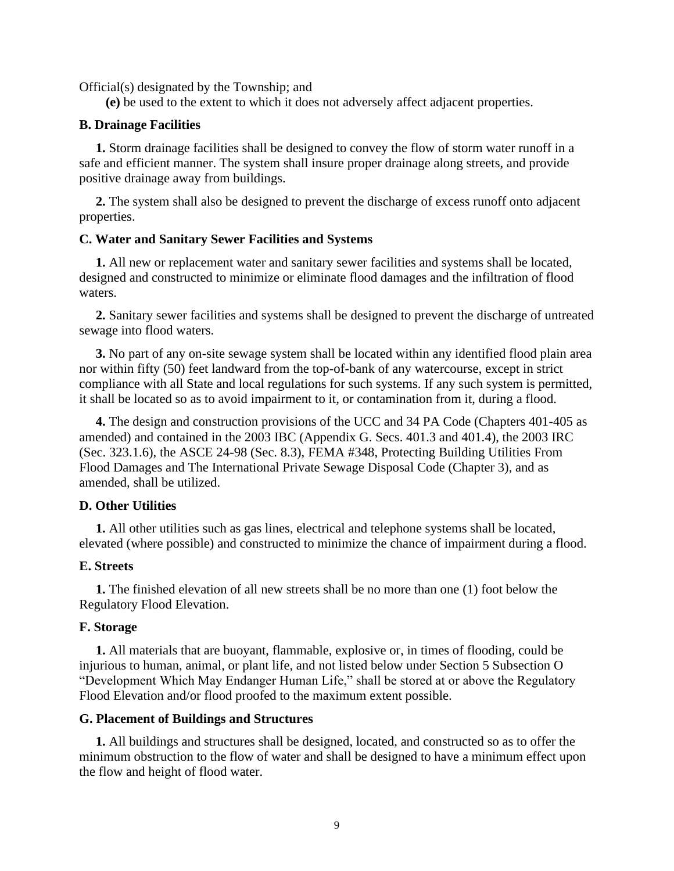Official(s) designated by the Township; and

**(e)** be used to the extent to which it does not adversely affect adjacent properties.

### **B. Drainage Facilities**

 **1.** Storm drainage facilities shall be designed to convey the flow of storm water runoff in a safe and efficient manner. The system shall insure proper drainage along streets, and provide positive drainage away from buildings.

 **2.** The system shall also be designed to prevent the discharge of excess runoff onto adjacent properties.

#### **C. Water and Sanitary Sewer Facilities and Systems**

 **1.** All new or replacement water and sanitary sewer facilities and systems shall be located, designed and constructed to minimize or eliminate flood damages and the infiltration of flood waters.

 **2.** Sanitary sewer facilities and systems shall be designed to prevent the discharge of untreated sewage into flood waters.

 **3.** No part of any on-site sewage system shall be located within any identified flood plain area nor within fifty (50) feet landward from the top-of-bank of any watercourse, except in strict compliance with all State and local regulations for such systems. If any such system is permitted, it shall be located so as to avoid impairment to it, or contamination from it, during a flood.

 **4.** The design and construction provisions of the UCC and 34 PA Code (Chapters 401-405 as amended) and contained in the 2003 IBC (Appendix G. Secs. 401.3 and 401.4), the 2003 IRC (Sec. 323.1.6), the ASCE 24-98 (Sec. 8.3), FEMA #348, Protecting Building Utilities From Flood Damages and The International Private Sewage Disposal Code (Chapter 3), and as amended, shall be utilized.

### **D. Other Utilities**

 **1.** All other utilities such as gas lines, electrical and telephone systems shall be located, elevated (where possible) and constructed to minimize the chance of impairment during a flood.

### **E. Streets**

 **1.** The finished elevation of all new streets shall be no more than one (1) foot below the Regulatory Flood Elevation.

#### **F. Storage**

 **1.** All materials that are buoyant, flammable, explosive or, in times of flooding, could be injurious to human, animal, or plant life, and not listed below under Section 5 Subsection O "Development Which May Endanger Human Life," shall be stored at or above the Regulatory Flood Elevation and/or flood proofed to the maximum extent possible.

#### **G. Placement of Buildings and Structures**

 **1.** All buildings and structures shall be designed, located, and constructed so as to offer the minimum obstruction to the flow of water and shall be designed to have a minimum effect upon the flow and height of flood water.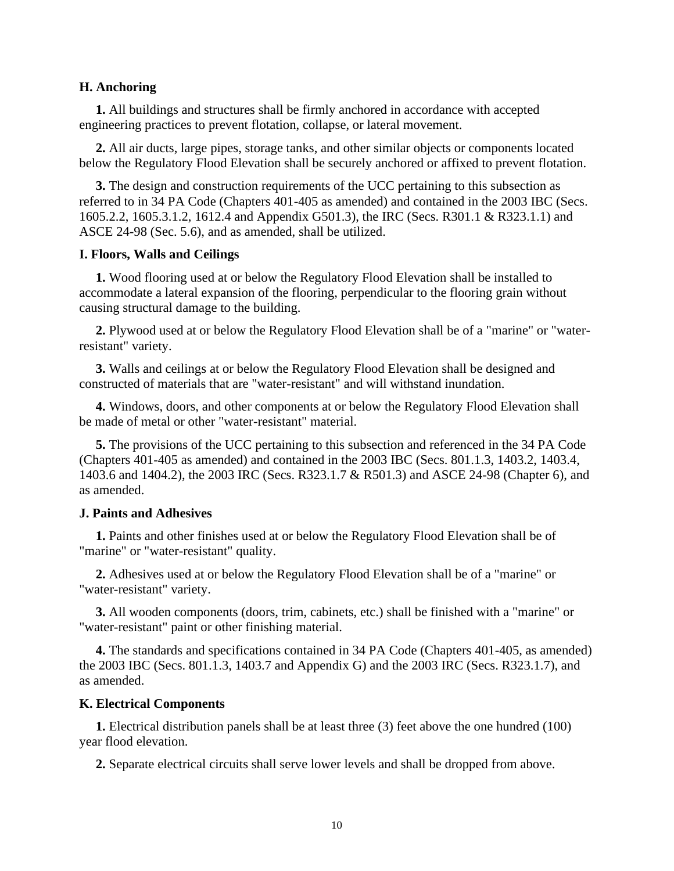### **H. Anchoring**

 **1.** All buildings and structures shall be firmly anchored in accordance with accepted engineering practices to prevent flotation, collapse, or lateral movement.

 **2.** All air ducts, large pipes, storage tanks, and other similar objects or components located below the Regulatory Flood Elevation shall be securely anchored or affixed to prevent flotation.

 **3.** The design and construction requirements of the UCC pertaining to this subsection as referred to in 34 PA Code (Chapters 401-405 as amended) and contained in the 2003 IBC (Secs. 1605.2.2, 1605.3.1.2, 1612.4 and Appendix G501.3), the IRC (Secs. R301.1 & R323.1.1) and ASCE 24-98 (Sec. 5.6), and as amended, shall be utilized.

#### **I. Floors, Walls and Ceilings**

 **1.** Wood flooring used at or below the Regulatory Flood Elevation shall be installed to accommodate a lateral expansion of the flooring, perpendicular to the flooring grain without causing structural damage to the building.

 **2.** Plywood used at or below the Regulatory Flood Elevation shall be of a "marine" or "waterresistant" variety.

 **3.** Walls and ceilings at or below the Regulatory Flood Elevation shall be designed and constructed of materials that are "water-resistant" and will withstand inundation.

 **4.** Windows, doors, and other components at or below the Regulatory Flood Elevation shall be made of metal or other "water-resistant" material.

 **5.** The provisions of the UCC pertaining to this subsection and referenced in the 34 PA Code (Chapters 401-405 as amended) and contained in the 2003 IBC (Secs. 801.1.3, 1403.2, 1403.4, 1403.6 and 1404.2), the 2003 IRC (Secs. R323.1.7 & R501.3) and ASCE 24-98 (Chapter 6), and as amended.

#### **J. Paints and Adhesives**

 **1.** Paints and other finishes used at or below the Regulatory Flood Elevation shall be of "marine" or "water-resistant" quality.

 **2.** Adhesives used at or below the Regulatory Flood Elevation shall be of a "marine" or "water-resistant" variety.

 **3.** All wooden components (doors, trim, cabinets, etc.) shall be finished with a "marine" or "water-resistant" paint or other finishing material.

 **4.** The standards and specifications contained in 34 PA Code (Chapters 401-405, as amended) the 2003 IBC (Secs. 801.1.3, 1403.7 and Appendix G) and the 2003 IRC (Secs. R323.1.7), and as amended.

### **K. Electrical Components**

 **1.** Electrical distribution panels shall be at least three (3) feet above the one hundred (100) year flood elevation.

**2.** Separate electrical circuits shall serve lower levels and shall be dropped from above.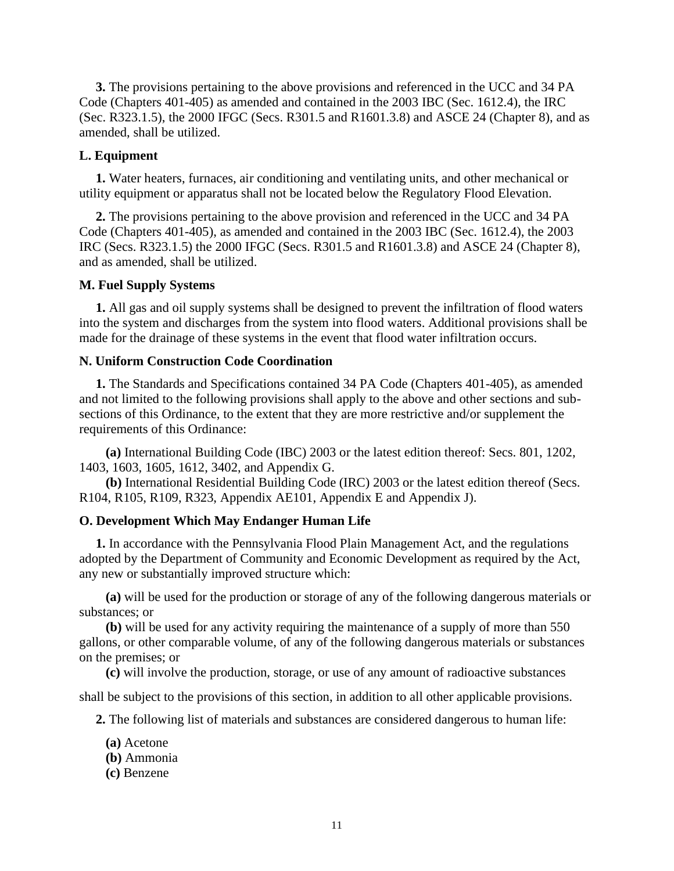**3.** The provisions pertaining to the above provisions and referenced in the UCC and 34 PA Code (Chapters 401-405) as amended and contained in the 2003 IBC (Sec. 1612.4), the IRC (Sec. R323.1.5), the 2000 IFGC (Secs. R301.5 and R1601.3.8) and ASCE 24 (Chapter 8), and as amended, shall be utilized.

### **L. Equipment**

 **1.** Water heaters, furnaces, air conditioning and ventilating units, and other mechanical or utility equipment or apparatus shall not be located below the Regulatory Flood Elevation.

 **2.** The provisions pertaining to the above provision and referenced in the UCC and 34 PA Code (Chapters 401-405), as amended and contained in the 2003 IBC (Sec. 1612.4), the 2003 IRC (Secs. R323.1.5) the 2000 IFGC (Secs. R301.5 and R1601.3.8) and ASCE 24 (Chapter 8), and as amended, shall be utilized.

### **M. Fuel Supply Systems**

 **1.** All gas and oil supply systems shall be designed to prevent the infiltration of flood waters into the system and discharges from the system into flood waters. Additional provisions shall be made for the drainage of these systems in the event that flood water infiltration occurs.

### **N. Uniform Construction Code Coordination**

 **1.** The Standards and Specifications contained 34 PA Code (Chapters 401-405), as amended and not limited to the following provisions shall apply to the above and other sections and subsections of this Ordinance, to the extent that they are more restrictive and/or supplement the requirements of this Ordinance:

 **(a)** International Building Code (IBC) 2003 or the latest edition thereof: Secs. 801, 1202, 1403, 1603, 1605, 1612, 3402, and Appendix G.

 **(b)** International Residential Building Code (IRC) 2003 or the latest edition thereof (Secs. R104, R105, R109, R323, Appendix AE101, Appendix E and Appendix J).

### **O. Development Which May Endanger Human Life**

 **1.** In accordance with the Pennsylvania Flood Plain Management Act, and the regulations adopted by the Department of Community and Economic Development as required by the Act, any new or substantially improved structure which:

 **(a)** will be used for the production or storage of any of the following dangerous materials or substances; or

 **(b)** will be used for any activity requiring the maintenance of a supply of more than 550 gallons, or other comparable volume, of any of the following dangerous materials or substances on the premises; or

**(c)** will involve the production, storage, or use of any amount of radioactive substances

shall be subject to the provisions of this section, in addition to all other applicable provisions.

**2.** The following list of materials and substances are considered dangerous to human life:

- **(a)** Acetone
- **(b)** Ammonia
- **(c)** Benzene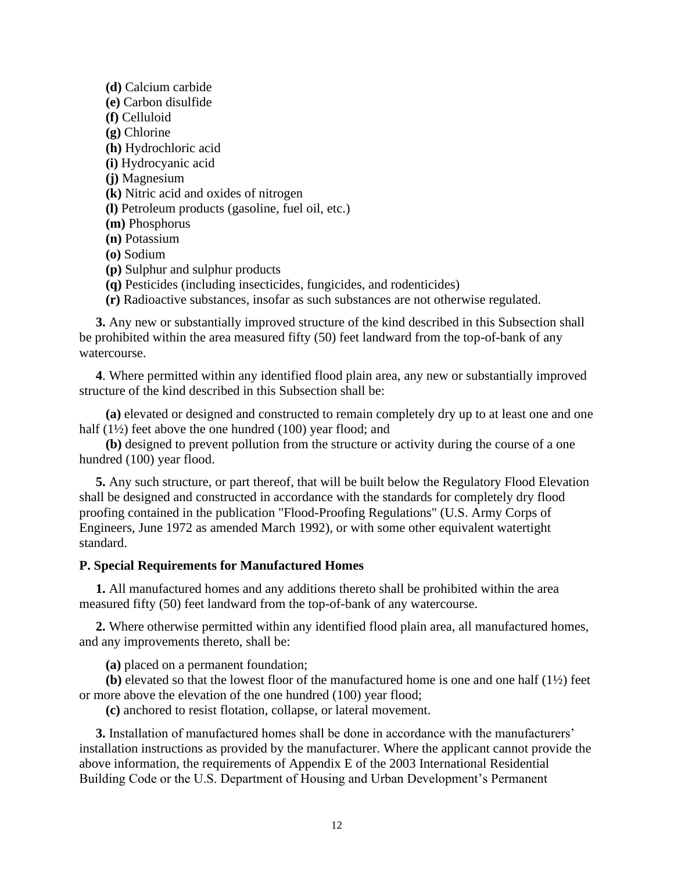**(d)** Calcium carbide **(e)** Carbon disulfide **(f)** Celluloid **(g)** Chlorine **(h)** Hydrochloric acid **(i)** Hydrocyanic acid **(j)** Magnesium **(k)** Nitric acid and oxides of nitrogen **(l)** Petroleum products (gasoline, fuel oil, etc.) **(m)** Phosphorus **(n)** Potassium **(o)** Sodium **(p)** Sulphur and sulphur products

**(q)** Pesticides (including insecticides, fungicides, and rodenticides)

**(r)** Radioactive substances, insofar as such substances are not otherwise regulated.

 **3.** Any new or substantially improved structure of the kind described in this Subsection shall be prohibited within the area measured fifty (50) feet landward from the top-of-bank of any watercourse.

 **4**. Where permitted within any identified flood plain area, any new or substantially improved structure of the kind described in this Subsection shall be:

 **(a)** elevated or designed and constructed to remain completely dry up to at least one and one half  $(1\frac{1}{2})$  feet above the one hundred  $(100)$  year flood; and

 **(b)** designed to prevent pollution from the structure or activity during the course of a one hundred (100) year flood.

 **5.** Any such structure, or part thereof, that will be built below the Regulatory Flood Elevation shall be designed and constructed in accordance with the standards for completely dry flood proofing contained in the publication "Flood-Proofing Regulations" (U.S. Army Corps of Engineers, June 1972 as amended March 1992), or with some other equivalent watertight standard.

#### **P. Special Requirements for Manufactured Homes**

 **1.** All manufactured homes and any additions thereto shall be prohibited within the area measured fifty (50) feet landward from the top-of-bank of any watercourse.

 **2.** Where otherwise permitted within any identified flood plain area, all manufactured homes, and any improvements thereto, shall be:

**(a)** placed on a permanent foundation;

**(b)** elevated so that the lowest floor of the manufactured home is one and one half  $(1\frac{1}{2})$  feet or more above the elevation of the one hundred (100) year flood;

**(c)** anchored to resist flotation, collapse, or lateral movement.

 **3.** Installation of manufactured homes shall be done in accordance with the manufacturers' installation instructions as provided by the manufacturer. Where the applicant cannot provide the above information, the requirements of Appendix E of the 2003 International Residential Building Code or the U.S. Department of Housing and Urban Development's Permanent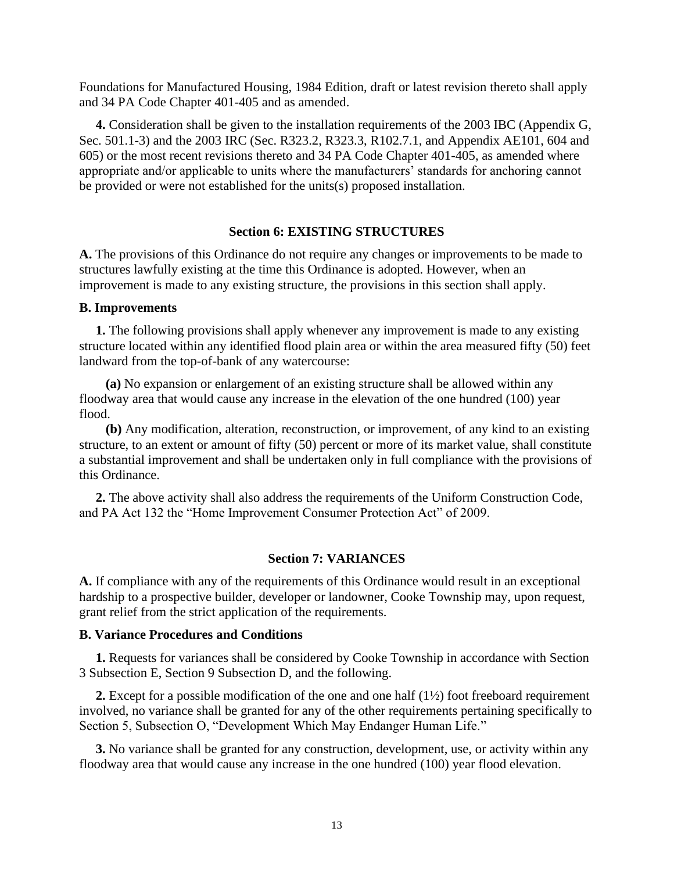Foundations for Manufactured Housing, 1984 Edition, draft or latest revision thereto shall apply and 34 PA Code Chapter 401-405 and as amended.

 **4.** Consideration shall be given to the installation requirements of the 2003 IBC (Appendix G, Sec. 501.1-3) and the 2003 IRC (Sec. R323.2, R323.3, R102.7.1, and Appendix AE101, 604 and 605) or the most recent revisions thereto and 34 PA Code Chapter 401-405, as amended where appropriate and/or applicable to units where the manufacturers' standards for anchoring cannot be provided or were not established for the units(s) proposed installation.

## **Section 6: EXISTING STRUCTURES**

**A.** The provisions of this Ordinance do not require any changes or improvements to be made to structures lawfully existing at the time this Ordinance is adopted. However, when an improvement is made to any existing structure, the provisions in this section shall apply.

#### **B. Improvements**

**1.** The following provisions shall apply whenever any improvement is made to any existing structure located within any identified flood plain area or within the area measured fifty (50) feet landward from the top-of-bank of any watercourse:

 **(a)** No expansion or enlargement of an existing structure shall be allowed within any floodway area that would cause any increase in the elevation of the one hundred (100) year flood.

 **(b)** Any modification, alteration, reconstruction, or improvement, of any kind to an existing structure, to an extent or amount of fifty (50) percent or more of its market value, shall constitute a substantial improvement and shall be undertaken only in full compliance with the provisions of this Ordinance.

 **2.** The above activity shall also address the requirements of the Uniform Construction Code, and PA Act 132 the "Home Improvement Consumer Protection Act" of 2009.

### **Section 7: VARIANCES**

**A.** If compliance with any of the requirements of this Ordinance would result in an exceptional hardship to a prospective builder, developer or landowner, Cooke Township may, upon request, grant relief from the strict application of the requirements.

## **B. Variance Procedures and Conditions**

 **1.** Requests for variances shall be considered by Cooke Township in accordance with Section 3 Subsection E, Section 9 Subsection D, and the following.

 **2.** Except for a possible modification of the one and one half (1½) foot freeboard requirement involved, no variance shall be granted for any of the other requirements pertaining specifically to Section 5, Subsection O, "Development Which May Endanger Human Life."

 **3.** No variance shall be granted for any construction, development, use, or activity within any floodway area that would cause any increase in the one hundred (100) year flood elevation.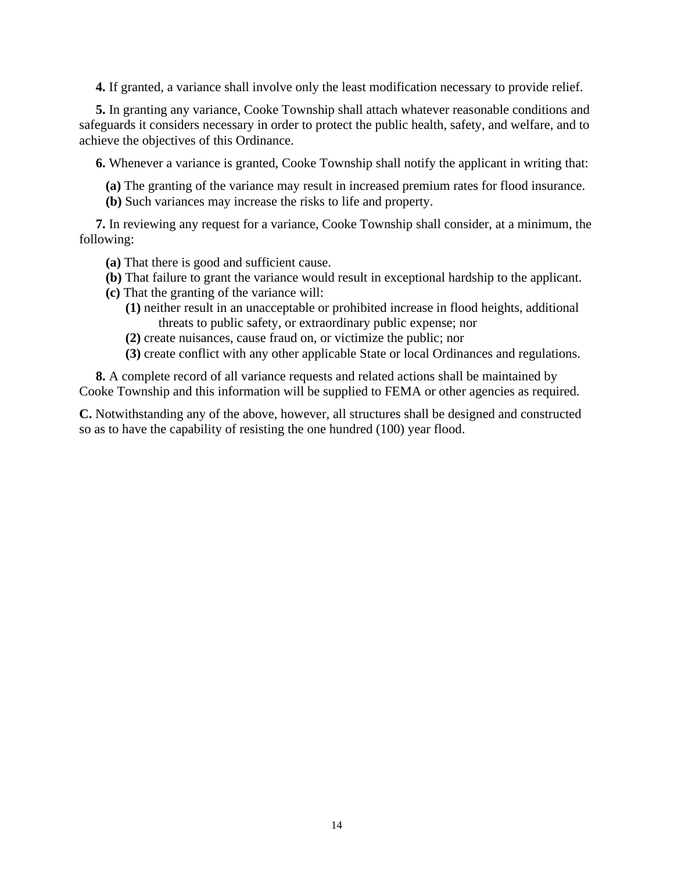**4.** If granted, a variance shall involve only the least modification necessary to provide relief.

 **5.** In granting any variance, Cooke Township shall attach whatever reasonable conditions and safeguards it considers necessary in order to protect the public health, safety, and welfare, and to achieve the objectives of this Ordinance.

**6.** Whenever a variance is granted, Cooke Township shall notify the applicant in writing that:

- **(a)** The granting of the variance may result in increased premium rates for flood insurance.
- **(b)** Such variances may increase the risks to life and property.

 **7.** In reviewing any request for a variance, Cooke Township shall consider, at a minimum, the following:

- **(a)** That there is good and sufficient cause.
- **(b)** That failure to grant the variance would result in exceptional hardship to the applicant.
- **(c)** That the granting of the variance will:
	- **(1)** neither result in an unacceptable or prohibited increase in flood heights, additional threats to public safety, or extraordinary public expense; nor
	- **(2)** create nuisances, cause fraud on, or victimize the public; nor
	- **(3)** create conflict with any other applicable State or local Ordinances and regulations.

 **8.** A complete record of all variance requests and related actions shall be maintained by Cooke Township and this information will be supplied to FEMA or other agencies as required.

**C.** Notwithstanding any of the above, however, all structures shall be designed and constructed so as to have the capability of resisting the one hundred (100) year flood.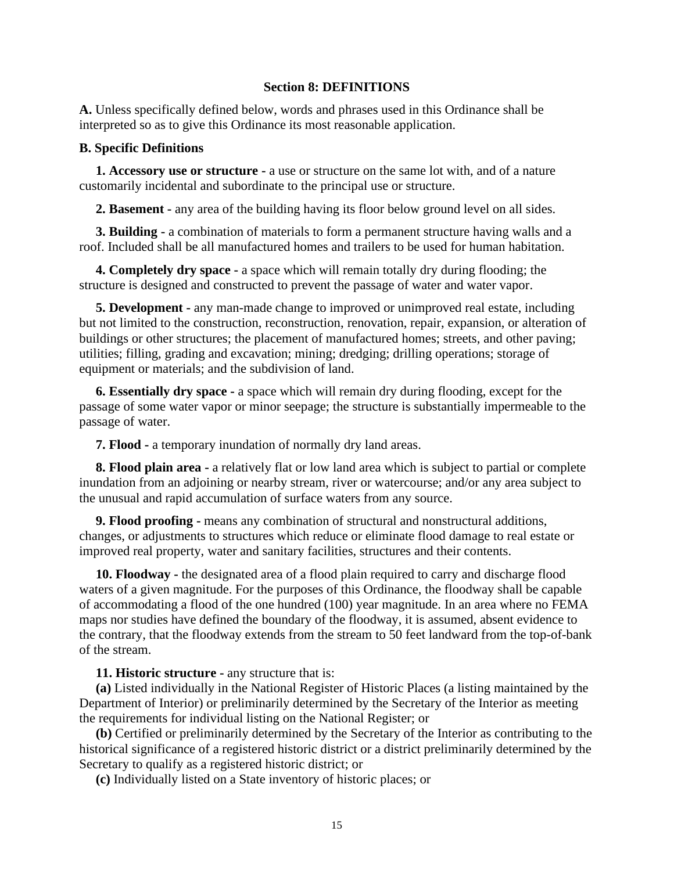## **Section 8: DEFINITIONS**

**A.** Unless specifically defined below, words and phrases used in this Ordinance shall be interpreted so as to give this Ordinance its most reasonable application.

### **B. Specific Definitions**

 **1. Accessory use or structure -** a use or structure on the same lot with, and of a nature customarily incidental and subordinate to the principal use or structure.

**2. Basement -** any area of the building having its floor below ground level on all sides.

 **3. Building -** a combination of materials to form a permanent structure having walls and a roof. Included shall be all manufactured homes and trailers to be used for human habitation.

 **4. Completely dry space -** a space which will remain totally dry during flooding; the structure is designed and constructed to prevent the passage of water and water vapor.

 **5. Development -** any man-made change to improved or unimproved real estate, including but not limited to the construction, reconstruction, renovation, repair, expansion, or alteration of buildings or other structures; the placement of manufactured homes; streets, and other paving; utilities; filling, grading and excavation; mining; dredging; drilling operations; storage of equipment or materials; and the subdivision of land.

 **6. Essentially dry space -** a space which will remain dry during flooding, except for the passage of some water vapor or minor seepage; the structure is substantially impermeable to the passage of water.

**7. Flood -** a temporary inundation of normally dry land areas.

 **8. Flood plain area -** a relatively flat or low land area which is subject to partial or complete inundation from an adjoining or nearby stream, river or watercourse; and/or any area subject to the unusual and rapid accumulation of surface waters from any source.

 **9. Flood proofing -** means any combination of structural and nonstructural additions, changes, or adjustments to structures which reduce or eliminate flood damage to real estate or improved real property, water and sanitary facilities, structures and their contents.

 **10. Floodway -** the designated area of a flood plain required to carry and discharge flood waters of a given magnitude. For the purposes of this Ordinance, the floodway shall be capable of accommodating a flood of the one hundred (100) year magnitude. In an area where no FEMA maps nor studies have defined the boundary of the floodway, it is assumed, absent evidence to the contrary, that the floodway extends from the stream to 50 feet landward from the top-of-bank of the stream.

**11. Historic structure -** any structure that is:

 **(a)** Listed individually in the National Register of Historic Places (a listing maintained by the Department of Interior) or preliminarily determined by the Secretary of the Interior as meeting the requirements for individual listing on the National Register; or

 **(b)** Certified or preliminarily determined by the Secretary of the Interior as contributing to the historical significance of a registered historic district or a district preliminarily determined by the Secretary to qualify as a registered historic district; or

**(c)** Individually listed on a State inventory of historic places; or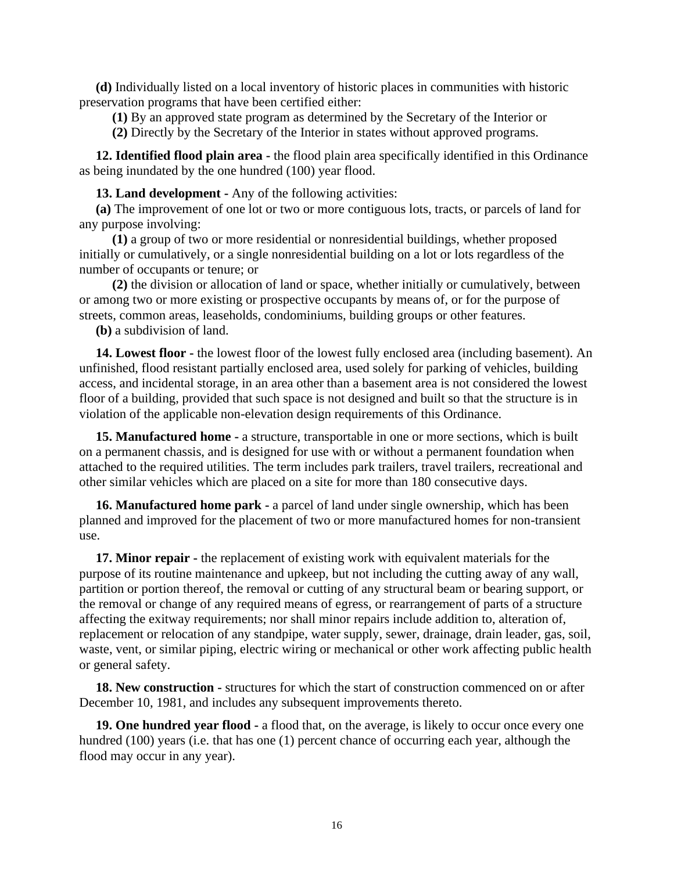**(d)** Individually listed on a local inventory of historic places in communities with historic preservation programs that have been certified either:

**(1)** By an approved state program as determined by the Secretary of the Interior or

**(2)** Directly by the Secretary of the Interior in states without approved programs.

 **12. Identified flood plain area -** the flood plain area specifically identified in this Ordinance as being inundated by the one hundred (100) year flood.

**13. Land development -** Any of the following activities:

 **(a)** The improvement of one lot or two or more contiguous lots, tracts, or parcels of land for any purpose involving:

 **(1)** a group of two or more residential or nonresidential buildings, whether proposed initially or cumulatively, or a single nonresidential building on a lot or lots regardless of the number of occupants or tenure; or

 **(2)** the division or allocation of land or space, whether initially or cumulatively, between or among two or more existing or prospective occupants by means of, or for the purpose of streets, common areas, leaseholds, condominiums, building groups or other features.

**(b)** a subdivision of land.

 **14. Lowest floor -** the lowest floor of the lowest fully enclosed area (including basement). An unfinished, flood resistant partially enclosed area, used solely for parking of vehicles, building access, and incidental storage, in an area other than a basement area is not considered the lowest floor of a building, provided that such space is not designed and built so that the structure is in violation of the applicable non-elevation design requirements of this Ordinance.

 **15. Manufactured home -** a structure, transportable in one or more sections, which is built on a permanent chassis, and is designed for use with or without a permanent foundation when attached to the required utilities. The term includes park trailers, travel trailers, recreational and other similar vehicles which are placed on a site for more than 180 consecutive days.

 **16. Manufactured home park -** a parcel of land under single ownership, which has been planned and improved for the placement of two or more manufactured homes for non-transient use.

 **17. Minor repair -** the replacement of existing work with equivalent materials for the purpose of its routine maintenance and upkeep, but not including the cutting away of any wall, partition or portion thereof, the removal or cutting of any structural beam or bearing support, or the removal or change of any required means of egress, or rearrangement of parts of a structure affecting the exitway requirements; nor shall minor repairs include addition to, alteration of, replacement or relocation of any standpipe, water supply, sewer, drainage, drain leader, gas, soil, waste, vent, or similar piping, electric wiring or mechanical or other work affecting public health or general safety.

 **18. New construction -** structures for which the start of construction commenced on or after December 10, 1981, and includes any subsequent improvements thereto.

 **19. One hundred year flood -** a flood that, on the average, is likely to occur once every one hundred (100) years (i.e. that has one (1) percent chance of occurring each year, although the flood may occur in any year).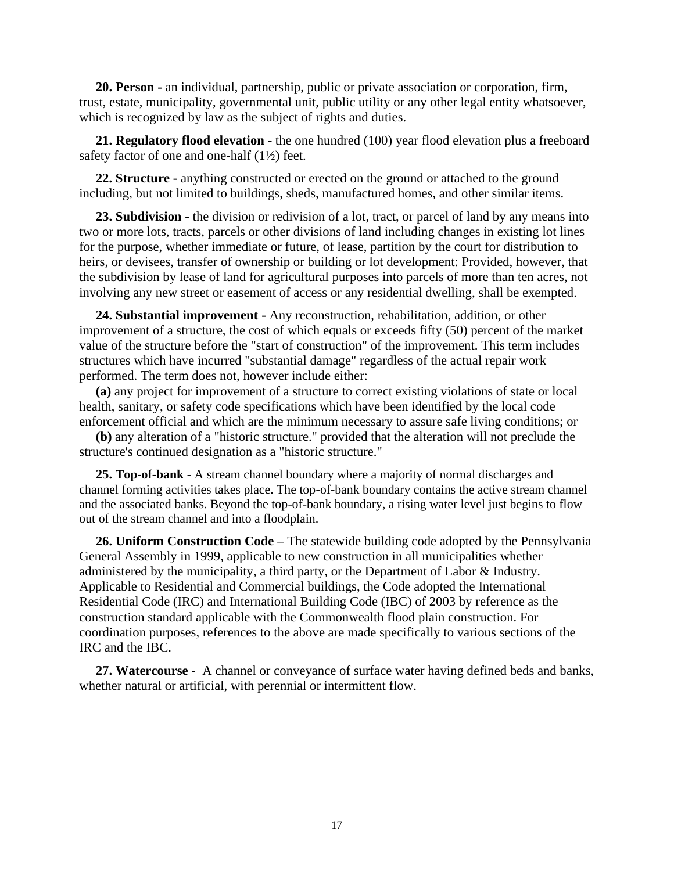**20. Person -** an individual, partnership, public or private association or corporation, firm, trust, estate, municipality, governmental unit, public utility or any other legal entity whatsoever, which is recognized by law as the subject of rights and duties.

 **21. Regulatory flood elevation -** the one hundred (100) year flood elevation plus a freeboard safety factor of one and one-half (1½) feet.

 **22. Structure -** anything constructed or erected on the ground or attached to the ground including, but not limited to buildings, sheds, manufactured homes, and other similar items.

 **23. Subdivision -** the division or redivision of a lot, tract, or parcel of land by any means into two or more lots, tracts, parcels or other divisions of land including changes in existing lot lines for the purpose, whether immediate or future, of lease, partition by the court for distribution to heirs, or devisees, transfer of ownership or building or lot development: Provided, however, that the subdivision by lease of land for agricultural purposes into parcels of more than ten acres, not involving any new street or easement of access or any residential dwelling, shall be exempted.

 **24. Substantial improvement -** Any reconstruction, rehabilitation, addition, or other improvement of a structure, the cost of which equals or exceeds fifty (50) percent of the market value of the structure before the "start of construction" of the improvement. This term includes structures which have incurred "substantial damage" regardless of the actual repair work performed. The term does not, however include either:

 **(a)** any project for improvement of a structure to correct existing violations of state or local health, sanitary, or safety code specifications which have been identified by the local code enforcement official and which are the minimum necessary to assure safe living conditions; or

 **(b)** any alteration of a "historic structure." provided that the alteration will not preclude the structure's continued designation as a "historic structure."

 **25. Top-of-bank** - A stream channel boundary where a majority of normal discharges and channel forming activities takes place. The top-of-bank boundary contains the active stream channel and the associated banks. Beyond the top-of-bank boundary, a rising water level just begins to flow out of the stream channel and into a floodplain.

 **26. Uniform Construction Code –** The statewide building code adopted by the Pennsylvania General Assembly in 1999, applicable to new construction in all municipalities whether administered by the municipality, a third party, or the Department of Labor & Industry. Applicable to Residential and Commercial buildings, the Code adopted the International Residential Code (IRC) and International Building Code (IBC) of 2003 by reference as the construction standard applicable with the Commonwealth flood plain construction. For coordination purposes, references to the above are made specifically to various sections of the IRC and the IBC.

 **27. Watercourse -** A channel or conveyance of surface water having defined beds and banks, whether natural or artificial, with perennial or intermittent flow.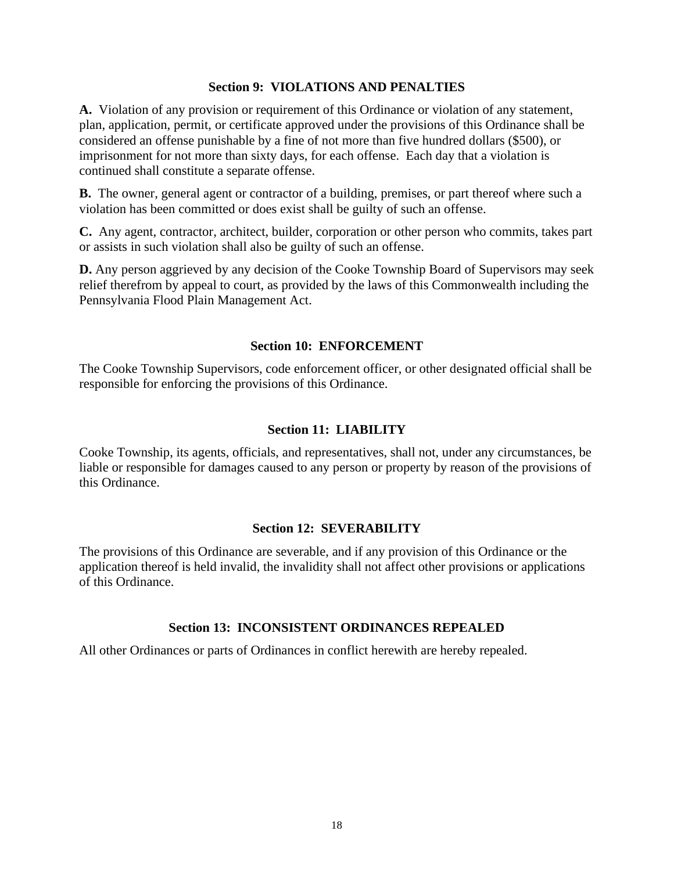# **Section 9: VIOLATIONS AND PENALTIES**

**A.** Violation of any provision or requirement of this Ordinance or violation of any statement, plan, application, permit, or certificate approved under the provisions of this Ordinance shall be considered an offense punishable by a fine of not more than five hundred dollars (\$500), or imprisonment for not more than sixty days, for each offense. Each day that a violation is continued shall constitute a separate offense.

**B.** The owner, general agent or contractor of a building, premises, or part thereof where such a violation has been committed or does exist shall be guilty of such an offense.

**C.** Any agent, contractor, architect, builder, corporation or other person who commits, takes part or assists in such violation shall also be guilty of such an offense.

**D.** Any person aggrieved by any decision of the Cooke Township Board of Supervisors may seek relief therefrom by appeal to court, as provided by the laws of this Commonwealth including the Pennsylvania Flood Plain Management Act.

## **Section 10: ENFORCEMENT**

The Cooke Township Supervisors, code enforcement officer, or other designated official shall be responsible for enforcing the provisions of this Ordinance.

## **Section 11: LIABILITY**

Cooke Township, its agents, officials, and representatives, shall not, under any circumstances, be liable or responsible for damages caused to any person or property by reason of the provisions of this Ordinance.

## **Section 12: SEVERABILITY**

The provisions of this Ordinance are severable, and if any provision of this Ordinance or the application thereof is held invalid, the invalidity shall not affect other provisions or applications of this Ordinance.

# **Section 13: INCONSISTENT ORDINANCES REPEALED**

All other Ordinances or parts of Ordinances in conflict herewith are hereby repealed.